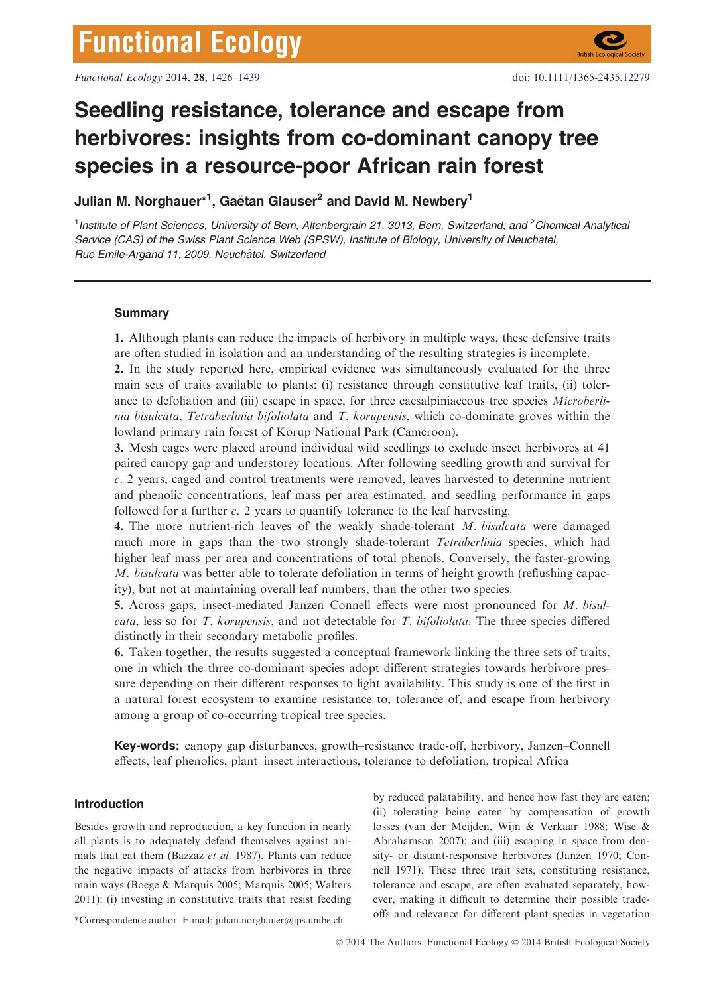

# Seedling resistance, tolerance and escape from herbivores: insights from co-dominant canopy tree species in a resource-poor African rain forest

Julian M. Norghauer\*<sup>1</sup>, Gaëtan Glauser<sup>2</sup> and David M. Newbery<sup>1</sup>

<sup>1</sup>Institute of Plant Sciences, University of Bern, Altenbergrain 21, 3013, Bern, Switzerland; and <sup>2</sup>Chemical Analytica Service (CAS) of the Swiss Plant Science Web (SPSW), Institute of Biology, University of Neuchâtel, Rue Emile-Argand 11, 2009, Neuchatel, Switzerland ^

# **Summary**

1. Although plants can reduce the impacts of herbivory in multiple ways, these defensive traits are often studied in isolation and an understanding of the resulting strategies is incomplete.

2. In the study reported here, empirical evidence was simultaneously evaluated for the three main sets of traits available to plants: (i) resistance through constitutive leaf traits, (ii) tolerance to defoliation and (iii) escape in space, for three caesalpiniaceous tree species Microberlinia bisulcata, Tetraberlinia bifoliolata and T. korupensis, which co-dominate groves within the lowland primary rain forest of Korup National Park (Cameroon).

3. Mesh cages were placed around individual wild seedlings to exclude insect herbivores at 41 paired canopy gap and understorey locations. After following seedling growth and survival for c. 2 years, caged and control treatments were removed, leaves harvested to determine nutrient and phenolic concentrations, leaf mass per area estimated, and seedling performance in gaps followed for a further  $c$ . 2 years to quantify tolerance to the leaf harvesting.

4. The more nutrient-rich leaves of the weakly shade-tolerant M. bisulcata were damaged much more in gaps than the two strongly shade-tolerant *Tetraberlinia* species, which had higher leaf mass per area and concentrations of total phenols. Conversely, the faster-growing M. bisulcata was better able to tolerate defoliation in terms of height growth (reflushing capacity), but not at maintaining overall leaf numbers, than the other two species.

5. Across gaps, insect-mediated Janzen–Connell effects were most pronounced for M. bisulcata, less so for T. korupensis, and not detectable for T. bifoliolata. The three species differed distinctly in their secondary metabolic profiles.

6. Taken together, the results suggested a conceptual framework linking the three sets of traits, one in which the three co-dominant species adopt different strategies towards herbivore pressure depending on their different responses to light availability. This study is one of the first in a natural forest ecosystem to examine resistance to, tolerance of, and escape from herbivory among a group of co-occurring tropical tree species.

Key-words: canopy gap disturbances, growth–resistance trade-off, herbivory, Janzen–Connell effects, leaf phenolics, plant–insect interactions, tolerance to defoliation, tropical Africa

# Introduction

Besides growth and reproduction, a key function in nearly all plants is to adequately defend themselves against animals that eat them (Bazzaz et al. 1987). Plants can reduce the negative impacts of attacks from herbivores in three main ways (Boege & Marquis 2005; Marquis 2005; Walters 2011): (i) investing in constitutive traits that resist feeding

by reduced palatability, and hence how fast they are eaten; (ii) tolerating being eaten by compensation of growth losses (van der Meijden, Wijn & Verkaar 1988; Wise & Abrahamson 2007); and (iii) escaping in space from density- or distant-responsive herbivores (Janzen 1970; Connell 1971). These three trait sets, constituting resistance, tolerance and escape, are often evaluated separately, however, making it difficult to determine their possible tradeoffs and relevance for different plant species in vegetation \*Correspondence author. E-mail: julian.norghauer@ips.unibe.ch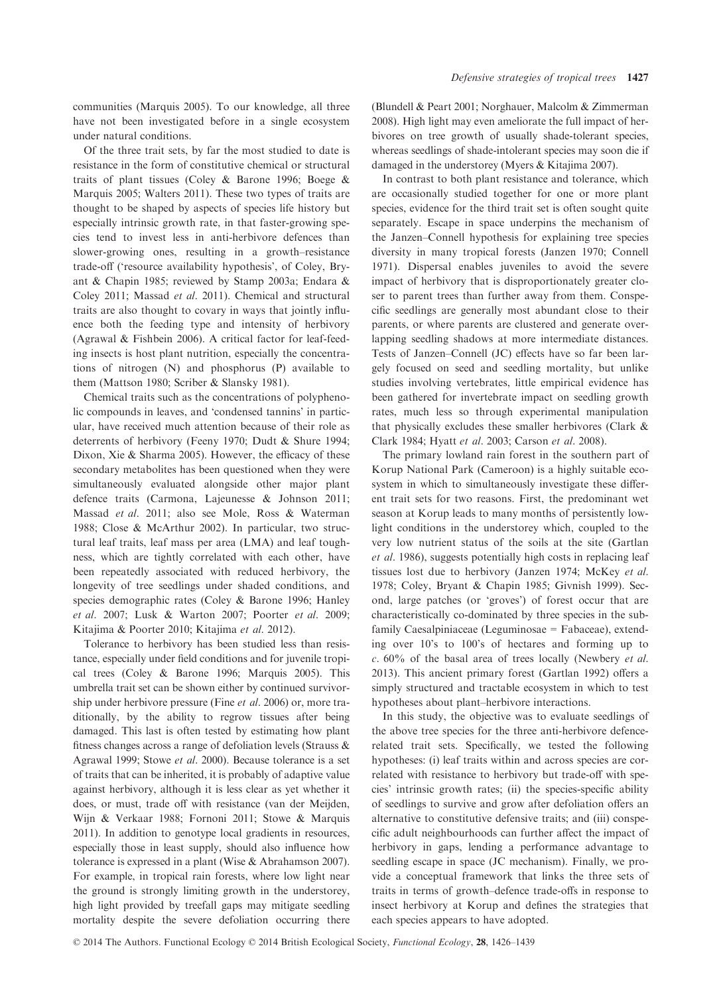communities (Marquis 2005). To our knowledge, all three have not been investigated before in a single ecosystem under natural conditions.

Of the three trait sets, by far the most studied to date is resistance in the form of constitutive chemical or structural traits of plant tissues (Coley & Barone 1996; Boege & Marquis 2005; Walters 2011). These two types of traits are thought to be shaped by aspects of species life history but especially intrinsic growth rate, in that faster-growing species tend to invest less in anti-herbivore defences than slower-growing ones, resulting in a growth–resistance trade-off ('resource availability hypothesis', of Coley, Bryant & Chapin 1985; reviewed by Stamp 2003a; Endara & Coley 2011; Massad et al. 2011). Chemical and structural traits are also thought to covary in ways that jointly influence both the feeding type and intensity of herbivory (Agrawal & Fishbein 2006). A critical factor for leaf-feeding insects is host plant nutrition, especially the concentrations of nitrogen (N) and phosphorus (P) available to them (Mattson 1980; Scriber & Slansky 1981).

Chemical traits such as the concentrations of polyphenolic compounds in leaves, and 'condensed tannins' in particular, have received much attention because of their role as deterrents of herbivory (Feeny 1970; Dudt & Shure 1994; Dixon, Xie & Sharma 2005). However, the efficacy of these secondary metabolites has been questioned when they were simultaneously evaluated alongside other major plant defence traits (Carmona, Lajeunesse & Johnson 2011; Massad et al. 2011; also see Mole, Ross & Waterman 1988; Close & McArthur 2002). In particular, two structural leaf traits, leaf mass per area (LMA) and leaf toughness, which are tightly correlated with each other, have been repeatedly associated with reduced herbivory, the longevity of tree seedlings under shaded conditions, and species demographic rates (Coley & Barone 1996; Hanley et al. 2007; Lusk & Warton 2007; Poorter et al. 2009; Kitajima & Poorter 2010; Kitajima et al. 2012).

Tolerance to herbivory has been studied less than resistance, especially under field conditions and for juvenile tropical trees (Coley & Barone 1996; Marquis 2005). This umbrella trait set can be shown either by continued survivorship under herbivore pressure (Fine et al. 2006) or, more traditionally, by the ability to regrow tissues after being damaged. This last is often tested by estimating how plant fitness changes across a range of defoliation levels (Strauss & Agrawal 1999; Stowe et al. 2000). Because tolerance is a set of traits that can be inherited, it is probably of adaptive value against herbivory, although it is less clear as yet whether it does, or must, trade off with resistance (van der Meijden, Wijn & Verkaar 1988; Fornoni 2011; Stowe & Marquis 2011). In addition to genotype local gradients in resources, especially those in least supply, should also influence how tolerance is expressed in a plant (Wise & Abrahamson 2007). For example, in tropical rain forests, where low light near the ground is strongly limiting growth in the understorey, high light provided by treefall gaps may mitigate seedling mortality despite the severe defoliation occurring there (Blundell & Peart 2001; Norghauer, Malcolm & Zimmerman 2008). High light may even ameliorate the full impact of herbivores on tree growth of usually shade-tolerant species, whereas seedlings of shade-intolerant species may soon die if damaged in the understorey (Myers & Kitajima 2007).

In contrast to both plant resistance and tolerance, which are occasionally studied together for one or more plant species, evidence for the third trait set is often sought quite separately. Escape in space underpins the mechanism of the Janzen–Connell hypothesis for explaining tree species diversity in many tropical forests (Janzen 1970; Connell 1971). Dispersal enables juveniles to avoid the severe impact of herbivory that is disproportionately greater closer to parent trees than further away from them. Conspecific seedlings are generally most abundant close to their parents, or where parents are clustered and generate overlapping seedling shadows at more intermediate distances. Tests of Janzen–Connell (JC) effects have so far been largely focused on seed and seedling mortality, but unlike studies involving vertebrates, little empirical evidence has been gathered for invertebrate impact on seedling growth rates, much less so through experimental manipulation that physically excludes these smaller herbivores (Clark & Clark 1984; Hyatt et al. 2003; Carson et al. 2008).

The primary lowland rain forest in the southern part of Korup National Park (Cameroon) is a highly suitable ecosystem in which to simultaneously investigate these different trait sets for two reasons. First, the predominant wet season at Korup leads to many months of persistently lowlight conditions in the understorey which, coupled to the very low nutrient status of the soils at the site (Gartlan et al. 1986), suggests potentially high costs in replacing leaf tissues lost due to herbivory (Janzen 1974; McKey et al. 1978; Coley, Bryant & Chapin 1985; Givnish 1999). Second, large patches (or 'groves') of forest occur that are characteristically co-dominated by three species in the subfamily Caesalpiniaceae (Leguminosae = Fabaceae), extending over 10's to 100's of hectares and forming up to c. 60% of the basal area of trees locally (Newbery et al. 2013). This ancient primary forest (Gartlan 1992) offers a simply structured and tractable ecosystem in which to test hypotheses about plant–herbivore interactions.

In this study, the objective was to evaluate seedlings of the above tree species for the three anti-herbivore defencerelated trait sets. Specifically, we tested the following hypotheses: (i) leaf traits within and across species are correlated with resistance to herbivory but trade-off with species' intrinsic growth rates; (ii) the species-specific ability of seedlings to survive and grow after defoliation offers an alternative to constitutive defensive traits; and (iii) conspecific adult neighbourhoods can further affect the impact of herbivory in gaps, lending a performance advantage to seedling escape in space (JC mechanism). Finally, we provide a conceptual framework that links the three sets of traits in terms of growth–defence trade-offs in response to insect herbivory at Korup and defines the strategies that each species appears to have adopted.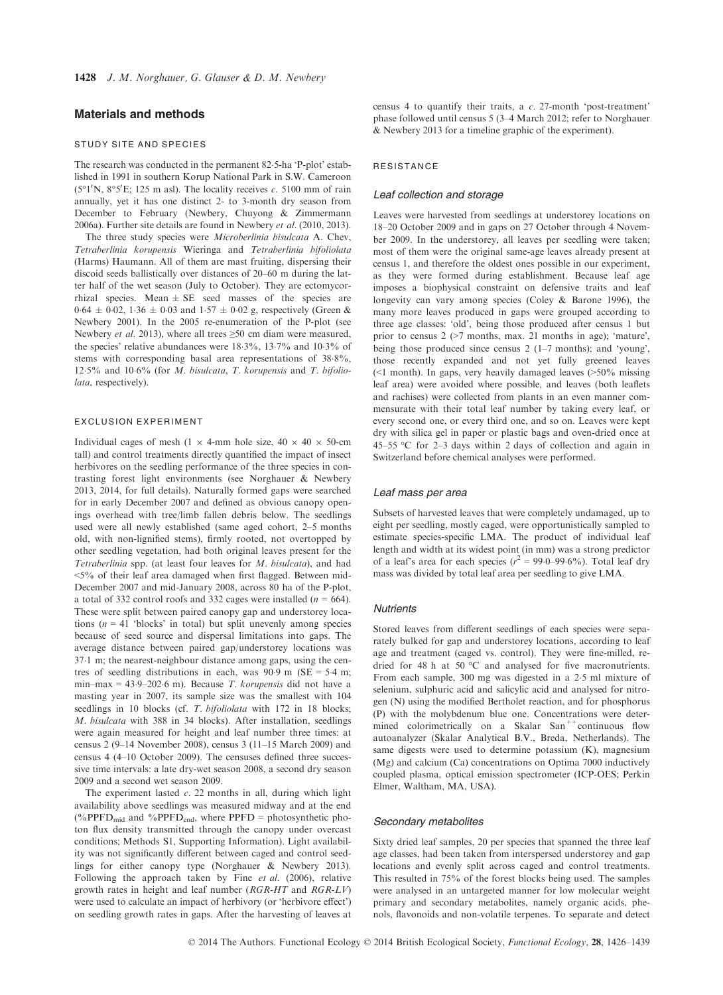# Materials and methods

# STUDY SITE AND SPECIES

The research was conducted in the permanent 82.5-ha 'P-plot' established in 1991 in southern Korup National Park in S.W. Cameroon  $(5^{\circ}1'N, 8^{\circ}5'E; 125 m as!)$ . The locality receives c. 5100 mm of rain annually, yet it has one distinct 2- to 3-month dry season from December to February (Newbery, Chuyong & Zimmermann 2006a). Further site details are found in Newbery et al. (2010, 2013).

The three study species were Microberlinia bisulcata A. Chev, Tetraberlinia korupensis Wieringa and Tetraberlinia bifoliolata (Harms) Haumann. All of them are mast fruiting, dispersing their discoid seeds ballistically over distances of 20–60 m during the latter half of the wet season (July to October). They are ectomycorrhizal species. Mean  $\pm$  SE seed masses of the species are 0.64  $\pm$  0.02, 1.36  $\pm$  0.03 and 1.57  $\pm$  0.02 g, respectively (Green & Newbery 2001). In the 2005 re-enumeration of the P-plot (see Newbery et al. 2013), where all trees ≥50 cm diam were measured, the species' relative abundances were 183%, 137% and 103% of stems with corresponding basal area representations of  $38.8\%$ , 12.5% and 10.6% (for  $M$ . bisulcata,  $T$ . korupensis and  $T$ . bifoliolata, respectively).

#### EXCLUSION EXPERIMENT

Individual cages of mesh (1  $\times$  4-mm hole size, 40  $\times$  40  $\times$  50-cm tall) and control treatments directly quantified the impact of insect herbivores on the seedling performance of the three species in contrasting forest light environments (see Norghauer & Newbery 2013, 2014, for full details). Naturally formed gaps were searched for in early December 2007 and defined as obvious canopy openings overhead with tree/limb fallen debris below. The seedlings used were all newly established (same aged cohort, 2–5 months old, with non-lignified stems), firmly rooted, not overtopped by other seedling vegetation, had both original leaves present for the Tetraberlinia spp. (at least four leaves for M. bisulcata), and had <5% of their leaf area damaged when first flagged. Between mid-December 2007 and mid-January 2008, across 80 ha of the P-plot, a total of 332 control roofs and 332 cages were installed ( $n = 664$ ). These were split between paired canopy gap and understorey locations ( $n = 41$  'blocks' in total) but split unevenly among species because of seed source and dispersal limitations into gaps. The average distance between paired gap/understorey locations was 371 m; the nearest-neighbour distance among gaps, using the centres of seedling distributions in each, was  $90.9$  m (SE = 5.4 m; min–max =  $43.9-202.6$  m). Because T. korupensis did not have a masting year in 2007, its sample size was the smallest with 104 seedlings in 10 blocks (cf. T. bifoliolata with 172 in 18 blocks; M. bisulcata with 388 in 34 blocks). After installation, seedlings were again measured for height and leaf number three times: at census 2 (9–14 November 2008), census 3 (11–15 March 2009) and census 4 (4–10 October 2009). The censuses defined three successive time intervals: a late dry-wet season 2008, a second dry season 2009 and a second wet season 2009.

The experiment lasted  $c$ . 22 months in all, during which light availability above seedlings was measured midway and at the end (%PPFD<sub>mid</sub> and %PPFD<sub>end</sub>, where PPFD = photosynthetic photon flux density transmitted through the canopy under overcast conditions; Methods S1, Supporting Information). Light availability was not significantly different between caged and control seedlings for either canopy type (Norghauer & Newbery 2013). Following the approach taken by Fine et al. (2006), relative growth rates in height and leaf number (RGR-HT and RGR-LV) were used to calculate an impact of herbivory (or 'herbivore effect') on seedling growth rates in gaps. After the harvesting of leaves at

census 4 to quantify their traits, a c. 27-month 'post-treatment' phase followed until census 5 (3–4 March 2012; refer to Norghauer & Newbery 2013 for a timeline graphic of the experiment).

## RESISTANCE

#### Leaf collection and storage

Leaves were harvested from seedlings at understorey locations on 18–20 October 2009 and in gaps on 27 October through 4 November 2009. In the understorey, all leaves per seedling were taken; most of them were the original same-age leaves already present at census 1, and therefore the oldest ones possible in our experiment, as they were formed during establishment. Because leaf age imposes a biophysical constraint on defensive traits and leaf longevity can vary among species (Coley & Barone 1996), the many more leaves produced in gaps were grouped according to three age classes: 'old', being those produced after census 1 but prior to census 2 (>7 months, max. 21 months in age); 'mature', being those produced since census 2 (1–7 months); and 'young', those recently expanded and not yet fully greened leaves (<1 month). In gaps, very heavily damaged leaves (>50% missing leaf area) were avoided where possible, and leaves (both leaflets and rachises) were collected from plants in an even manner commensurate with their total leaf number by taking every leaf, or every second one, or every third one, and so on. Leaves were kept dry with silica gel in paper or plastic bags and oven-dried once at 45–55 °C for 2–3 days within 2 days of collection and again in Switzerland before chemical analyses were performed.

#### Leaf mass per area

Subsets of harvested leaves that were completely undamaged, up to eight per seedling, mostly caged, were opportunistically sampled to estimate species-specific LMA. The product of individual leaf length and width at its widest point (in mm) was a strong predictor of a leaf's area for each species ( $r^2 = 99.0-99.6\%$ ). Total leaf dry mass was divided by total leaf area per seedling to give LMA.

# **Nutrients**

Stored leaves from different seedlings of each species were separately bulked for gap and understorey locations, according to leaf age and treatment (caged vs. control). They were fine-milled, redried for 48 h at 50 °C and analysed for five macronutrients. From each sample, 300 mg was digested in a 25 ml mixture of selenium, sulphuric acid and salicylic acid and analysed for nitrogen (N) using the modified Bertholet reaction, and for phosphorus (P) with the molybdenum blue one. Concentrations were determined colorimetrically on a Skalar  $San<sup>++</sup>$  continuous flow autoanalyzer (Skalar Analytical B.V., Breda, Netherlands). The same digests were used to determine potassium (K), magnesium (Mg) and calcium (Ca) concentrations on Optima 7000 inductively coupled plasma, optical emission spectrometer (ICP-OES; Perkin Elmer, Waltham, MA, USA).

#### Secondary metabolites

Sixty dried leaf samples, 20 per species that spanned the three leaf age classes, had been taken from interspersed understorey and gap locations and evenly split across caged and control treatments. This resulted in 75% of the forest blocks being used. The samples were analysed in an untargeted manner for low molecular weight primary and secondary metabolites, namely organic acids, phenols, flavonoids and non-volatile terpenes. To separate and detect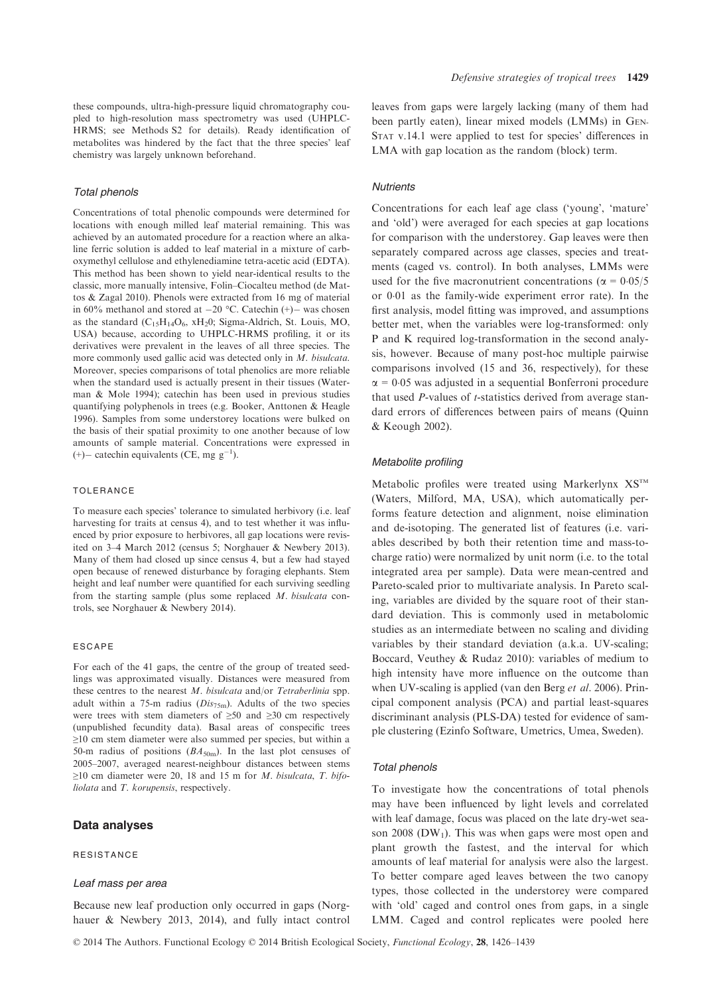these compounds, ultra-high-pressure liquid chromatography coupled to high-resolution mass spectrometry was used (UHPLC-HRMS; see Methods S2 for details). Ready identification of metabolites was hindered by the fact that the three species' leaf chemistry was largely unknown beforehand.

#### Total phenols

Concentrations of total phenolic compounds were determined for locations with enough milled leaf material remaining. This was achieved by an automated procedure for a reaction where an alkaline ferric solution is added to leaf material in a mixture of carboxymethyl cellulose and ethylenediamine tetra-acetic acid (EDTA). This method has been shown to yield near-identical results to the classic, more manually intensive, Folin–Ciocalteu method (de Mattos & Zagal 2010). Phenols were extracted from 16 mg of material in 60% methanol and stored at  $-20$  °C. Catechin (+)- was chosen as the standard  $(C_{15}H_{14}O_6, xH_2O;$  Sigma-Aldrich, St. Louis, MO, USA) because, according to UHPLC-HRMS profiling, it or its derivatives were prevalent in the leaves of all three species. The more commonly used gallic acid was detected only in M. bisulcata. Moreover, species comparisons of total phenolics are more reliable when the standard used is actually present in their tissues (Waterman & Mole 1994); catechin has been used in previous studies quantifying polyphenols in trees (e.g. Booker, Anttonen & Heagle 1996). Samples from some understorey locations were bulked on the basis of their spatial proximity to one another because of low amounts of sample material. Concentrations were expressed in (+)– catechin equivalents (CE, mg  $g^{-1}$ ).

## TOLERANCE

To measure each species' tolerance to simulated herbivory (i.e. leaf harvesting for traits at census 4), and to test whether it was influenced by prior exposure to herbivores, all gap locations were revisited on 3–4 March 2012 (census 5; Norghauer & Newbery 2013). Many of them had closed up since census 4, but a few had stayed open because of renewed disturbance by foraging elephants. Stem height and leaf number were quantified for each surviving seedling from the starting sample (plus some replaced M. bisulcata controls, see Norghauer & Newbery 2014).

# ESCAPE

For each of the 41 gaps, the centre of the group of treated seedlings was approximated visually. Distances were measured from these centres to the nearest M. bisulcata and/or Tetraberlinia spp. adult within a 75-m radius ( $Dis<sub>75m</sub>$ ). Adults of the two species were trees with stem diameters of ≥50 and ≥30 cm respectively (unpublished fecundity data). Basal areas of conspecific trees  $\geq$ 10 cm stem diameter were also summed per species, but within a 50-m radius of positions  $(BA_{50m})$ . In the last plot censuses of 2005–2007, averaged nearest-neighbour distances between stems ≥10 cm diameter were 20, 18 and 15 m for *M. bisulcata*, *T. bifo*liolata and T. korupensis, respectively.

## Data analyses

## RESISTANCE

#### Leaf mass per area

Because new leaf production only occurred in gaps (Norghauer & Newbery 2013, 2014), and fully intact control leaves from gaps were largely lacking (many of them had been partly eaten), linear mixed models (LMMs) in GEN-STAT v.14.1 were applied to test for species' differences in LMA with gap location as the random (block) term.

#### **Nutrients**

Concentrations for each leaf age class ('young', 'mature' and 'old') were averaged for each species at gap locations for comparison with the understorey. Gap leaves were then separately compared across age classes, species and treatments (caged vs. control). In both analyses, LMMs were used for the five macronutrient concentrations ( $\alpha = 0.05/5$ or 001 as the family-wide experiment error rate). In the first analysis, model fitting was improved, and assumptions better met, when the variables were log-transformed: only P and K required log-transformation in the second analysis, however. Because of many post-hoc multiple pairwise comparisons involved (15 and 36, respectively), for these  $\alpha$  = 0.05 was adjusted in a sequential Bonferroni procedure that used P-values of t-statistics derived from average standard errors of differences between pairs of means (Quinn & Keough 2002).

# Metabolite profiling

Metabolic profiles were treated using Markerlynx  $XS^{TM}$ (Waters, Milford, MA, USA), which automatically performs feature detection and alignment, noise elimination and de-isotoping. The generated list of features (i.e. variables described by both their retention time and mass-tocharge ratio) were normalized by unit norm (i.e. to the total integrated area per sample). Data were mean-centred and Pareto-scaled prior to multivariate analysis. In Pareto scaling, variables are divided by the square root of their standard deviation. This is commonly used in metabolomic studies as an intermediate between no scaling and dividing variables by their standard deviation (a.k.a. UV-scaling; Boccard, Veuthey & Rudaz 2010): variables of medium to high intensity have more influence on the outcome than when UV-scaling is applied (van den Berg et al. 2006). Principal component analysis (PCA) and partial least-squares discriminant analysis (PLS-DA) tested for evidence of sample clustering (Ezinfo Software, Umetrics, Umea, Sweden).

## Total phenols

To investigate how the concentrations of total phenols may have been influenced by light levels and correlated with leaf damage, focus was placed on the late dry-wet season 2008 ( $DW_1$ ). This was when gaps were most open and plant growth the fastest, and the interval for which amounts of leaf material for analysis were also the largest. To better compare aged leaves between the two canopy types, those collected in the understorey were compared with 'old' caged and control ones from gaps, in a single LMM. Caged and control replicates were pooled here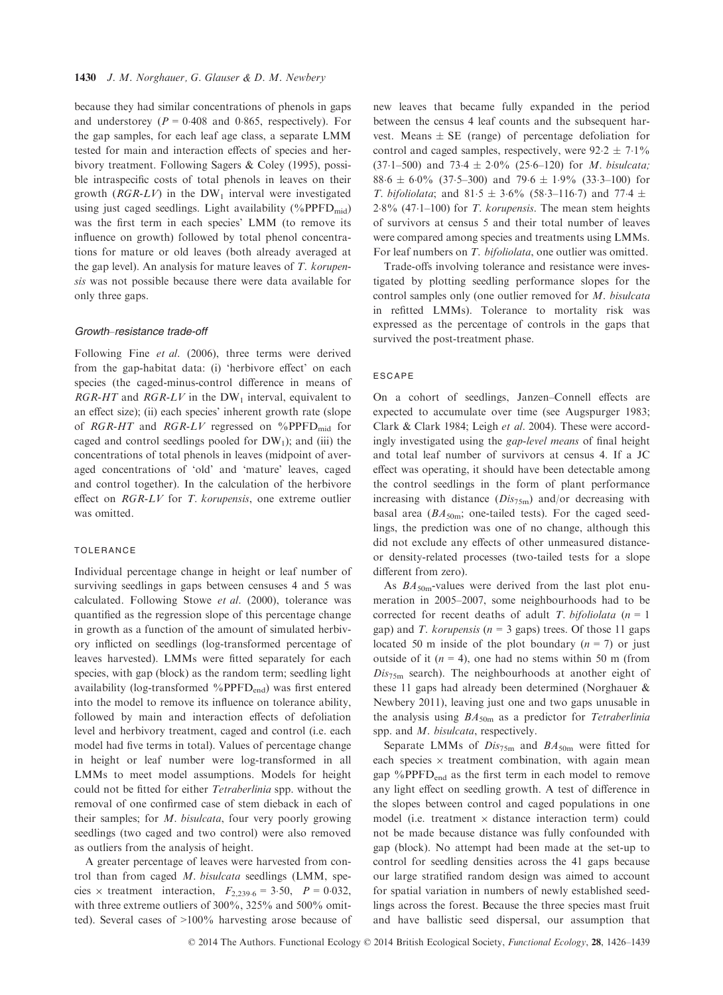because they had similar concentrations of phenols in gaps and understorey ( $P = 0.408$  and 0.865, respectively). For the gap samples, for each leaf age class, a separate LMM tested for main and interaction effects of species and herbivory treatment. Following Sagers & Coley (1995), possible intraspecific costs of total phenols in leaves on their growth  $(RGR-LV)$  in the DW<sub>1</sub> interval were investigated using just caged seedlings. Light availability  $(\%PPFD_{mid})$ was the first term in each species' LMM (to remove its influence on growth) followed by total phenol concentrations for mature or old leaves (both already averaged at the gap level). An analysis for mature leaves of T. korupensis was not possible because there were data available for only three gaps.

#### Growth–resistance trade-off

Following Fine et al. (2006), three terms were derived from the gap-habitat data: (i) 'herbivore effect' on each species (the caged-minus-control difference in means of RGR-HT and RGR-LV in the DW<sub>1</sub> interval, equivalent to an effect size); (ii) each species' inherent growth rate (slope of RGR-HT and RGR-LV regressed on %PPFD<sub>mid</sub> for caged and control seedlings pooled for  $DW_1$ ); and (iii) the concentrations of total phenols in leaves (midpoint of averaged concentrations of 'old' and 'mature' leaves, caged and control together). In the calculation of the herbivore effect on RGR-LV for T. korupensis, one extreme outlier was omitted.

## TOLERANCE

Individual percentage change in height or leaf number of surviving seedlings in gaps between censuses 4 and 5 was calculated. Following Stowe et al. (2000), tolerance was quantified as the regression slope of this percentage change in growth as a function of the amount of simulated herbivory inflicted on seedlings (log-transformed percentage of leaves harvested). LMMs were fitted separately for each species, with gap (block) as the random term; seedling light availability (log-transformed %PPFD<sub>end</sub>) was first entered into the model to remove its influence on tolerance ability, followed by main and interaction effects of defoliation level and herbivory treatment, caged and control (i.e. each model had five terms in total). Values of percentage change in height or leaf number were log-transformed in all LMMs to meet model assumptions. Models for height could not be fitted for either Tetraberlinia spp. without the removal of one confirmed case of stem dieback in each of their samples; for *M. bisulcata*, four very poorly growing seedlings (two caged and two control) were also removed as outliers from the analysis of height.

A greater percentage of leaves were harvested from control than from caged M. bisulcata seedlings (LMM, species  $\times$  treatment interaction,  $F_{2,239.6} = 3.50$ ,  $P = 0.032$ , with three extreme outliers of 300%, 325% and 500% omitted). Several cases of >100% harvesting arose because of new leaves that became fully expanded in the period between the census 4 leaf counts and the subsequent harvest. Means  $\pm$  SE (range) of percentage defoliation for control and caged samples, respectively, were  $92.2 \pm 7.1\%$  $(37.1–500)$  and  $73.4 \pm 2.0\%$   $(25.6–120)$  for *M. bisulcata*;  $88.6 \pm 6.0\%$  (37.5–300) and 79.6  $\pm$  1.9% (33.3–100) for *T. bifoliolata*; and  $81.5 \pm 3.6\%$  (58.3–116.7) and 77.4  $\pm$  $2.8\%$  (47.1–100) for T. korupensis. The mean stem heights of survivors at census 5 and their total number of leaves were compared among species and treatments using LMMs. For leaf numbers on T. bifoliolata, one outlier was omitted.

Trade-offs involving tolerance and resistance were investigated by plotting seedling performance slopes for the control samples only (one outlier removed for M. bisulcata in refitted LMMs). Tolerance to mortality risk was expressed as the percentage of controls in the gaps that survived the post-treatment phase.

#### ESCAPE

On a cohort of seedlings, Janzen–Connell effects are expected to accumulate over time (see Augspurger 1983; Clark & Clark 1984; Leigh et al. 2004). These were accordingly investigated using the gap-level means of final height and total leaf number of survivors at census 4. If a JC effect was operating, it should have been detectable among the control seedlings in the form of plant performance increasing with distance  $(Dis_{75m})$  and/or decreasing with basal area ( $BA_{50m}$ ; one-tailed tests). For the caged seedlings, the prediction was one of no change, although this did not exclude any effects of other unmeasured distanceor density-related processes (two-tailed tests for a slope different from zero).

As  $BA_{50m}$ -values were derived from the last plot enumeration in 2005–2007, some neighbourhoods had to be corrected for recent deaths of adult T. bifoliolata ( $n = 1$ ) gap) and T. korupensis ( $n = 3$  gaps) trees. Of those 11 gaps located 50 m inside of the plot boundary  $(n = 7)$  or just outside of it  $(n = 4)$ , one had no stems within 50 m (from  $Dis<sub>75m</sub>$  search). The neighbourhoods at another eight of these 11 gaps had already been determined (Norghauer & Newbery 2011), leaving just one and two gaps unusable in the analysis using  $BA_{50m}$  as a predictor for Tetraberlinia spp. and M. bisulcata, respectively.

Separate LMMs of  $Dis<sub>75m</sub>$  and  $BA<sub>50m</sub>$  were fitted for each species  $\times$  treatment combination, with again mean gap %PPF $D_{end}$  as the first term in each model to remove any light effect on seedling growth. A test of difference in the slopes between control and caged populations in one model (i.e. treatment  $\times$  distance interaction term) could not be made because distance was fully confounded with gap (block). No attempt had been made at the set-up to control for seedling densities across the 41 gaps because our large stratified random design was aimed to account for spatial variation in numbers of newly established seedlings across the forest. Because the three species mast fruit and have ballistic seed dispersal, our assumption that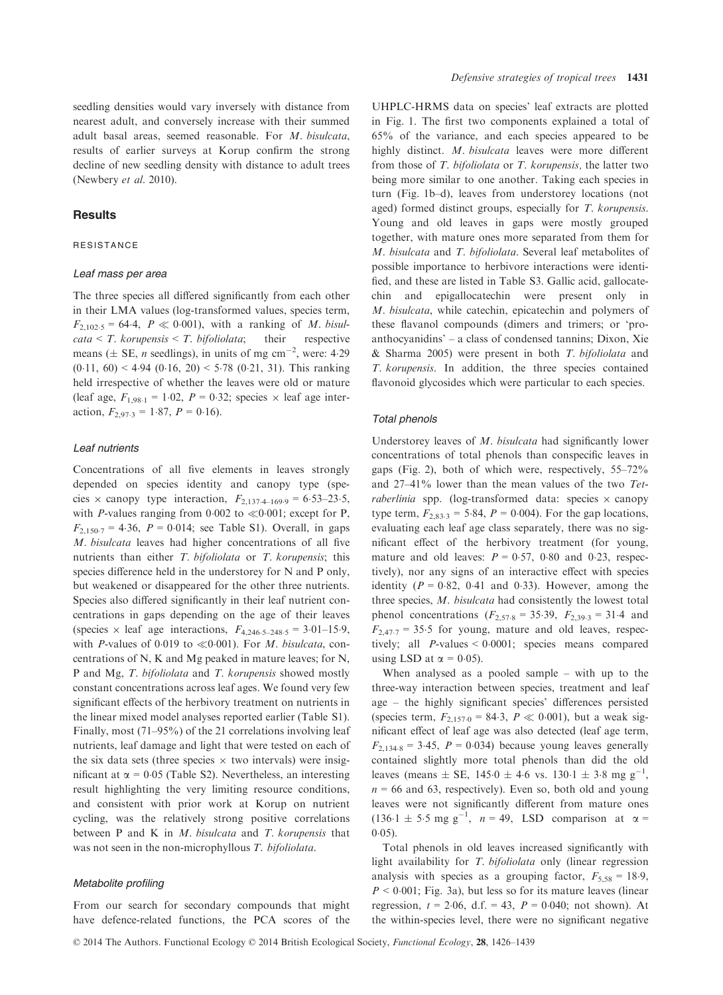seedling densities would vary inversely with distance from nearest adult, and conversely increase with their summed adult basal areas, seemed reasonable. For M. bisulcata, results of earlier surveys at Korup confirm the strong decline of new seedling density with distance to adult trees (Newbery et al. 2010).

## **Results**

# RESISTANCE

#### Leaf mass per area

The three species all differed significantly from each other in their LMA values (log-transformed values, species term,  $F_{2,102.5} = 64.4$ ,  $P \ll 0.001$ ), with a ranking of *M. bisul-*<br>*cata* < *T. korupensis* < *T. bifoliolata*; their respective  $\textit{cata} \leq T$ . korupensis  $\leq T$ . bifoliolata; means ( $\pm$  SE, *n* seedlings), in units of mg cm<sup>-2</sup>, were: 4.29  $(0.11, 60) < 4.94$   $(0.16, 20) < 5.78$   $(0.21, 31)$ . This ranking held irrespective of whether the leaves were old or mature (leaf age,  $F_{1,98 \cdot 1} = 1.02$ ,  $P = 0.32$ ; species  $\times$  leaf age interaction,  $F_{2,97.3} = 1.87$ ,  $P = 0.16$ ).

#### Leaf nutrients

Concentrations of all five elements in leaves strongly depended on species identity and canopy type (species  $\times$  canopy type interaction,  $F_{2,137\cdot 4-169\cdot 9} = 6.53-23.5$ , with P-values ranging from 0.002 to  $\ll 0.001$ ; except for P,  $F_{2,150.7} = 4.36$ ,  $P = 0.014$ ; see Table S1). Overall, in gaps M. bisulcata leaves had higher concentrations of all five nutrients than either *T. bifoliolata* or *T. korupensis*; this species difference held in the understorey for N and P only, but weakened or disappeared for the other three nutrients. Species also differed significantly in their leaf nutrient concentrations in gaps depending on the age of their leaves (species  $\times$  leaf age interactions,  $F_{4,246.5-248.5} = 3.01-15.9$ , with P-values of 0.019 to  $\ll$ 0.001). For *M. bisulcata*, concentrations of N, K and Mg peaked in mature leaves; for N, P and Mg, T. bifoliolata and T. korupensis showed mostly constant concentrations across leaf ages. We found very few significant effects of the herbivory treatment on nutrients in the linear mixed model analyses reported earlier (Table S1). Finally, most (71–95%) of the 21 correlations involving leaf nutrients, leaf damage and light that were tested on each of the six data sets (three species  $\times$  two intervals) were insignificant at  $\alpha$  = 0.05 (Table S2). Nevertheless, an interesting result highlighting the very limiting resource conditions, and consistent with prior work at Korup on nutrient cycling, was the relatively strong positive correlations between  $P$  and  $K$  in  $M$ . bisulcata and  $T$ . korupensis that was not seen in the non-microphyllous T. bifoliolata.

#### Metabolite profiling

From our search for secondary compounds that might have defence-related functions, the PCA scores of the UHPLC-HRMS data on species' leaf extracts are plotted in Fig. 1. The first two components explained a total of 65% of the variance, and each species appeared to be highly distinct. M. bisulcata leaves were more different from those of T. bifoliolata or T. korupensis, the latter two being more similar to one another. Taking each species in turn (Fig. 1b–d), leaves from understorey locations (not aged) formed distinct groups, especially for T. korupensis. Young and old leaves in gaps were mostly grouped together, with mature ones more separated from them for M. bisulcata and T. bifoliolata. Several leaf metabolites of possible importance to herbivore interactions were identified, and these are listed in Table S3. Gallic acid, gallocatechin and epigallocatechin were present only in M. bisulcata, while catechin, epicatechin and polymers of these flavanol compounds (dimers and trimers; or 'proanthocyanidins' – a class of condensed tannins; Dixon, Xie & Sharma 2005) were present in both T. bifoliolata and T. korupensis. In addition, the three species contained flavonoid glycosides which were particular to each species.

## Total phenols

Understorey leaves of M. bisulcata had significantly lower concentrations of total phenols than conspecific leaves in gaps (Fig. 2), both of which were, respectively, 55–72% and 27–41% lower than the mean values of the two Tetraberlinia spp. (log-transformed data: species  $\times$  canopy type term,  $F_{2,83,3} = 5.84$ ,  $P = 0.004$ ). For the gap locations, evaluating each leaf age class separately, there was no significant effect of the herbivory treatment (for young, mature and old leaves:  $P = 0.57$ , 0.80 and 0.23, respectively), nor any signs of an interactive effect with species identity ( $P = 0.82$ , 0.41 and 0.33). However, among the three species, M. bisulcata had consistently the lowest total phenol concentrations  $(F_{2,57.8} = 35.39, F_{2,39.3} = 31.4$  and  $F_{2,47.7} = 35.5$  for young, mature and old leaves, respectively; all  $P$ -values < 0.0001; species means compared using LSD at  $\alpha = 0.05$ ).

When analysed as a pooled sample – with up to the three-way interaction between species, treatment and leaf age – the highly significant species' differences persisted (species term,  $F_{2,157 \cdot 0} = 84.3$ ,  $P \ll 0.001$ ), but a weak significant effect of leaf age was also detected (leaf age term,  $F_{2,134.8} = 3.45$ ,  $P = 0.034$ ) because young leaves generally contained slightly more total phenols than did the old leaves (means  $\pm$  SE, 145.0  $\pm$  4.6 vs. 130.1  $\pm$  3.8 mg g<sup>-1</sup>,  $n = 66$  and 63, respectively). Even so, both old and young leaves were not significantly different from mature ones  $(136.1 \pm 5.5 \text{ mg g}^{-1}, n = 49, \text{ LSD comparison at } \alpha =$  $0.05$ ).

Total phenols in old leaves increased significantly with light availability for T. bifoliolata only (linear regression analysis with species as a grouping factor,  $F_{5,58} = 18.9$ ,  $P < 0.001$ ; Fig. 3a), but less so for its mature leaves (linear regression,  $t = 2.06$ , d.f. = 43,  $P = 0.040$ ; not shown). At the within-species level, there were no significant negative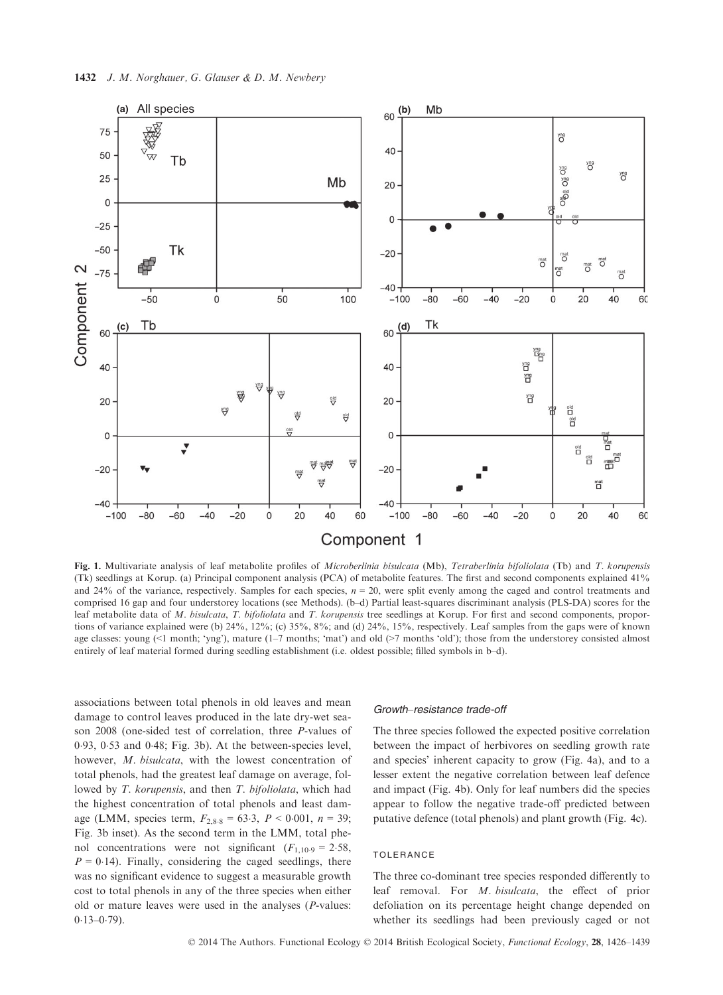

Fig. 1. Multivariate analysis of leaf metabolite profiles of Microberlinia bisulcata (Mb), Tetraberlinia bifoliolata (Tb) and T. korupensis (Tk) seedlings at Korup. (a) Principal component analysis (PCA) of metabolite features. The first and second components explained 41% and 24% of the variance, respectively. Samples for each species,  $n = 20$ , were split evenly among the caged and control treatments and comprised 16 gap and four understorey locations (see Methods). (b–d) Partial least-squares discriminant analysis (PLS-DA) scores for the leaf metabolite data of M. bisulcata, T. bifoliolata and T. korupensis tree seedlings at Korup. For first and second components, proportions of variance explained were (b) 24%, 12%; (c) 35%, 8%; and (d) 24%, 15%, respectively. Leaf samples from the gaps were of known age classes: young (<1 month; 'yng'), mature (1–7 months; 'mat') and old (>7 months 'old'); those from the understorey consisted almost entirely of leaf material formed during seedling establishment (i.e. oldest possible; filled symbols in b–d).

associations between total phenols in old leaves and mean damage to control leaves produced in the late dry-wet season 2008 (one-sided test of correlation, three P-values of 093, 053 and 048; Fig. 3b). At the between-species level, however, M. bisulcata, with the lowest concentration of total phenols, had the greatest leaf damage on average, followed by T. korupensis, and then T. bifoliolata, which had the highest concentration of total phenols and least damage (LMM, species term,  $F_{2,8,8} = 63.3$ ,  $P < 0.001$ ,  $n = 39$ ; Fig. 3b inset). As the second term in the LMM, total phenol concentrations were not significant  $(F_{1,10.9} = 2.58,$  $P = 0.14$ ). Finally, considering the caged seedlings, there was no significant evidence to suggest a measurable growth cost to total phenols in any of the three species when either old or mature leaves were used in the analyses (P-values:  $0.13 - 0.79$ ).

#### Growth–resistance trade-off

The three species followed the expected positive correlation between the impact of herbivores on seedling growth rate and species' inherent capacity to grow (Fig. 4a), and to a lesser extent the negative correlation between leaf defence and impact (Fig. 4b). Only for leaf numbers did the species appear to follow the negative trade-off predicted between putative defence (total phenols) and plant growth (Fig. 4c).

#### TOLERANCE

The three co-dominant tree species responded differently to leaf removal. For M. bisulcata, the effect of prior defoliation on its percentage height change depended on whether its seedlings had been previously caged or not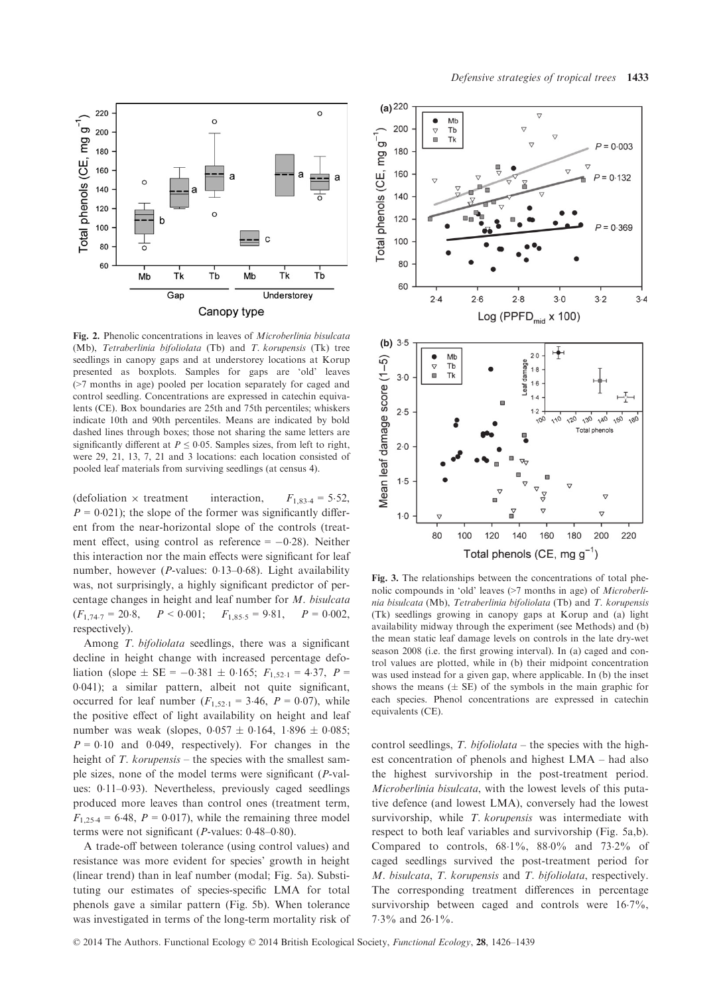

Fig. 2. Phenolic concentrations in leaves of Microberlinia bisulcata (Mb), Tetraberlinia bifoliolata (Tb) and T. korupensis (Tk) tree seedlings in canopy gaps and at understorey locations at Korup presented as boxplots. Samples for gaps are 'old' leaves (>7 months in age) pooled per location separately for caged and control seedling. Concentrations are expressed in catechin equivalents (CE). Box boundaries are 25th and 75th percentiles; whiskers indicate 10th and 90th percentiles. Means are indicated by bold dashed lines through boxes; those not sharing the same letters are significantly different at  $P \le 0.05$ . Samples sizes, from left to right, were 29, 21, 13, 7, 21 and 3 locations: each location consisted of pooled leaf materials from surviving seedlings (at census 4).

(defoliation  $\times$  treatment interaction,  $F_{1,83,4} = 5.52$ ,  $P = 0.021$ ; the slope of the former was significantly different from the near-horizontal slope of the controls (treatment effect, using control as reference  $= -0.28$ ). Neither this interaction nor the main effects were significant for leaf number, however ( $P$ -values: 0.13–0.68). Light availability was, not surprisingly, a highly significant predictor of percentage changes in height and leaf number for M. bisulcata  $(F_{1,74.7} = 20.8, \quad P < 0.001; \quad F_{1,85.5} = 9.81, \quad P = 0.002,$ respectively).

Among T. bifoliolata seedlings, there was a significant decline in height change with increased percentage defoliation (slope  $\pm$  SE = -0.381  $\pm$  0.165;  $F_{1,52.1}$  = 4.37,  $P$  = 0041); a similar pattern, albeit not quite significant, occurred for leaf number  $(F_{1,52 \cdot 1} = 3.46, P = 0.07)$ , while the positive effect of light availability on height and leaf number was weak (slopes,  $0.057 \pm 0.164$ , 1.896  $\pm 0.085$ ;  $P = 0.10$  and 0.049, respectively). For changes in the height of  $T$ . *korupensis* – the species with the smallest sample sizes, none of the model terms were significant (P-values: 0.11–0.93). Nevertheless, previously caged seedlings produced more leaves than control ones (treatment term,  $F_{1,25.4} = 6.48, P = 0.017$ , while the remaining three model terms were not significant ( $P$ -values: 0.48–0.80).

A trade-off between tolerance (using control values) and resistance was more evident for species' growth in height (linear trend) than in leaf number (modal; Fig. 5a). Substituting our estimates of species-specific LMA for total phenols gave a similar pattern (Fig. 5b). When tolerance was investigated in terms of the long-term mortality risk of



Fig. 3. The relationships between the concentrations of total phenolic compounds in 'old' leaves (>7 months in age) of Microberlinia bisulcata (Mb), Tetraberlinia bifoliolata (Tb) and T. korupensis (Tk) seedlings growing in canopy gaps at Korup and (a) light availability midway through the experiment (see Methods) and (b) the mean static leaf damage levels on controls in the late dry-wet season 2008 (i.e. the first growing interval). In (a) caged and control values are plotted, while in (b) their midpoint concentration was used instead for a given gap, where applicable. In (b) the inset shows the means  $(\pm \text{ SE})$  of the symbols in the main graphic for each species. Phenol concentrations are expressed in catechin equivalents (CE).

control seedlings,  $T.$  bifoliolata – the species with the highest concentration of phenols and highest LMA – had also the highest survivorship in the post-treatment period. Microberlinia bisulcata, with the lowest levels of this putative defence (and lowest LMA), conversely had the lowest survivorship, while *T. korupensis* was intermediate with respect to both leaf variables and survivorship (Fig. 5a,b). Compared to controls,  $68.1\%$ ,  $88.0\%$  and  $73.2\%$  of caged seedlings survived the post-treatment period for M. bisulcata, T. korupensis and T. bifoliolata, respectively. The corresponding treatment differences in percentage survivorship between caged and controls were 167%, 73% and 261%.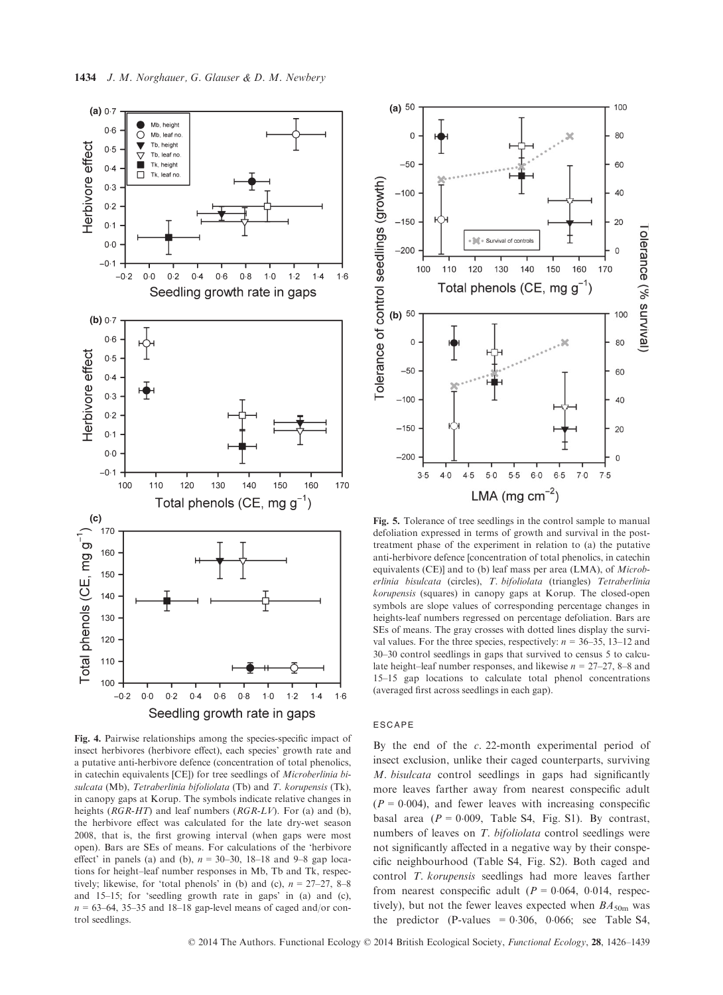

Fig. 4. Pairwise relationships among the species-specific impact of insect herbivores (herbivore effect), each species' growth rate and a putative anti-herbivore defence (concentration of total phenolics, in catechin equivalents [CE]) for tree seedlings of Microberlinia bisulcata (Mb), Tetraberlinia bifoliolata (Tb) and T. korupensis (Tk), in canopy gaps at Korup. The symbols indicate relative changes in heights (*RGR-HT*) and leaf numbers (*RGR-LV*). For (a) and (b), the herbivore effect was calculated for the late dry-wet season 2008, that is, the first growing interval (when gaps were most open). Bars are SEs of means. For calculations of the 'herbivore effect' in panels (a) and (b),  $n = 30-30$ , 18–18 and 9–8 gap locations for height–leaf number responses in Mb, Tb and Tk, respectively; likewise, for 'total phenols' in (b) and (c),  $n = 27-27$ , 8-8 and 15–15; for 'seedling growth rate in gaps' in (a) and (c),  $n = 63-64$ , 35-35 and 18-18 gap-level means of caged and/or control seedlings.



Fig. 5. Tolerance of tree seedlings in the control sample to manual defoliation expressed in terms of growth and survival in the posttreatment phase of the experiment in relation to (a) the putative anti-herbivore defence [concentration of total phenolics, in catechin equivalents (CE)] and to (b) leaf mass per area (LMA), of Microberlinia bisulcata (circles), T. bifoliolata (triangles) Tetraberlinia korupensis (squares) in canopy gaps at Korup. The closed-open symbols are slope values of corresponding percentage changes in heights-leaf numbers regressed on percentage defoliation. Bars are SEs of means. The gray crosses with dotted lines display the survival values. For the three species, respectively:  $n = 36-35$ , 13-12 and 30–30 control seedlings in gaps that survived to census 5 to calculate height–leaf number responses, and likewise  $n = 27-27$ , 8–8 and 15–15 gap locations to calculate total phenol concentrations (averaged first across seedlings in each gap).

# ESCAPE

By the end of the  $c$ . 22-month experimental period of insect exclusion, unlike their caged counterparts, surviving M. bisulcata control seedlings in gaps had significantly more leaves farther away from nearest conspecific adult  $(P = 0.004)$ , and fewer leaves with increasing conspecific basal area ( $P = 0.009$ , Table S4, Fig. S1). By contrast, numbers of leaves on T. bifoliolata control seedlings were not significantly affected in a negative way by their conspecific neighbourhood (Table S4, Fig. S2). Both caged and control T. korupensis seedlings had more leaves farther from nearest conspecific adult ( $P = 0.064$ , 0.014, respectively), but not the fewer leaves expected when  $BA_{50m}$  was the predictor (P-values =  $0.306$ ,  $0.066$ ; see Table S4,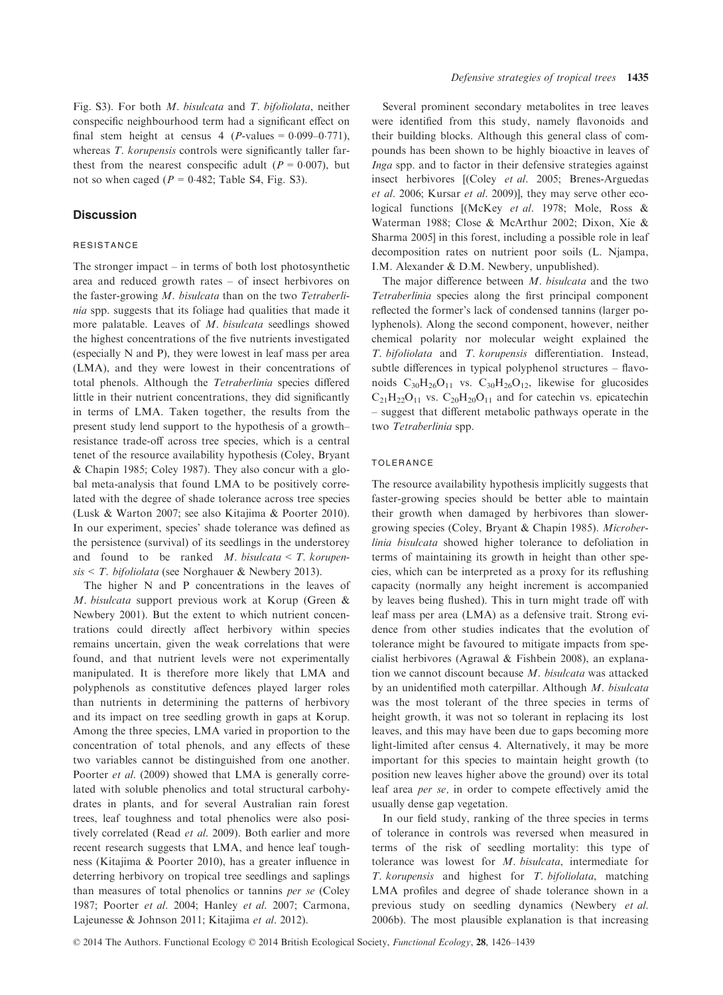Fig. S3). For both M. bisulcata and T. bifoliolata, neither conspecific neighbourhood term had a significant effect on final stem height at census 4 (*P*-values =  $0.099-0.771$ ), whereas T. korupensis controls were significantly taller farthest from the nearest conspecific adult ( $P = 0.007$ ), but not so when caged ( $P = 0.482$ ; Table S4, Fig. S3).

## **Discussion**

#### RESISTANCE

The stronger impact – in terms of both lost photosynthetic area and reduced growth rates – of insect herbivores on the faster-growing M. bisulcata than on the two Tetraberlinia spp. suggests that its foliage had qualities that made it more palatable. Leaves of M. bisulcata seedlings showed the highest concentrations of the five nutrients investigated (especially N and P), they were lowest in leaf mass per area (LMA), and they were lowest in their concentrations of total phenols. Although the Tetraberlinia species differed little in their nutrient concentrations, they did significantly in terms of LMA. Taken together, the results from the present study lend support to the hypothesis of a growth– resistance trade-off across tree species, which is a central tenet of the resource availability hypothesis (Coley, Bryant & Chapin 1985; Coley 1987). They also concur with a global meta-analysis that found LMA to be positively correlated with the degree of shade tolerance across tree species (Lusk & Warton 2007; see also Kitajima & Poorter 2010). In our experiment, species' shade tolerance was defined as the persistence (survival) of its seedlings in the understorey and found to be ranked  $M.$  bisulcata  $\leq T.$  korupen $sis < T$ . bifoliolata (see Norghauer & Newbery 2013).

The higher N and P concentrations in the leaves of M. bisulcata support previous work at Korup (Green & Newbery 2001). But the extent to which nutrient concentrations could directly affect herbivory within species remains uncertain, given the weak correlations that were found, and that nutrient levels were not experimentally manipulated. It is therefore more likely that LMA and polyphenols as constitutive defences played larger roles than nutrients in determining the patterns of herbivory and its impact on tree seedling growth in gaps at Korup. Among the three species, LMA varied in proportion to the concentration of total phenols, and any effects of these two variables cannot be distinguished from one another. Poorter *et al.* (2009) showed that LMA is generally correlated with soluble phenolics and total structural carbohydrates in plants, and for several Australian rain forest trees, leaf toughness and total phenolics were also positively correlated (Read et al. 2009). Both earlier and more recent research suggests that LMA, and hence leaf toughness (Kitajima & Poorter 2010), has a greater influence in deterring herbivory on tropical tree seedlings and saplings than measures of total phenolics or tannins per se (Coley 1987; Poorter et al. 2004; Hanley et al. 2007; Carmona, Lajeunesse & Johnson 2011; Kitajima et al. 2012).

Several prominent secondary metabolites in tree leaves were identified from this study, namely flavonoids and their building blocks. Although this general class of compounds has been shown to be highly bioactive in leaves of Inga spp. and to factor in their defensive strategies against insect herbivores [(Coley et al. 2005; Brenes-Arguedas et al. 2006; Kursar et al. 2009)], they may serve other ecological functions [(McKey et al. 1978; Mole, Ross & Waterman 1988; Close & McArthur 2002; Dixon, Xie & Sharma 2005] in this forest, including a possible role in leaf decomposition rates on nutrient poor soils (L. Njampa, I.M. Alexander & D.M. Newbery, unpublished).

The major difference between *M. bisulcata* and the two Tetraberlinia species along the first principal component reflected the former's lack of condensed tannins (larger polyphenols). Along the second component, however, neither chemical polarity nor molecular weight explained the T. bifoliolata and T. korupensis differentiation. Instead, subtle differences in typical polyphenol structures – flavonoids  $C_{30}H_{26}O_{11}$  vs.  $C_{30}H_{26}O_{12}$ , likewise for glucosides  $C_{21}H_{22}O_{11}$  vs.  $C_{20}H_{20}O_{11}$  and for catechin vs. epicatechin – suggest that different metabolic pathways operate in the two Tetraberlinia spp.

#### TOLERANCE

The resource availability hypothesis implicitly suggests that faster-growing species should be better able to maintain their growth when damaged by herbivores than slowergrowing species (Coley, Bryant & Chapin 1985). Microberlinia bisulcata showed higher tolerance to defoliation in terms of maintaining its growth in height than other species, which can be interpreted as a proxy for its reflushing capacity (normally any height increment is accompanied by leaves being flushed). This in turn might trade off with leaf mass per area (LMA) as a defensive trait. Strong evidence from other studies indicates that the evolution of tolerance might be favoured to mitigate impacts from specialist herbivores (Agrawal & Fishbein 2008), an explanation we cannot discount because M. bisulcata was attacked by an unidentified moth caterpillar. Although M. bisulcata was the most tolerant of the three species in terms of height growth, it was not so tolerant in replacing its lost leaves, and this may have been due to gaps becoming more light-limited after census 4. Alternatively, it may be more important for this species to maintain height growth (to position new leaves higher above the ground) over its total leaf area per se, in order to compete effectively amid the usually dense gap vegetation.

In our field study, ranking of the three species in terms of tolerance in controls was reversed when measured in terms of the risk of seedling mortality: this type of tolerance was lowest for M. bisulcata, intermediate for T. korupensis and highest for T. bifoliolata, matching LMA profiles and degree of shade tolerance shown in a previous study on seedling dynamics (Newbery et al. 2006b). The most plausible explanation is that increasing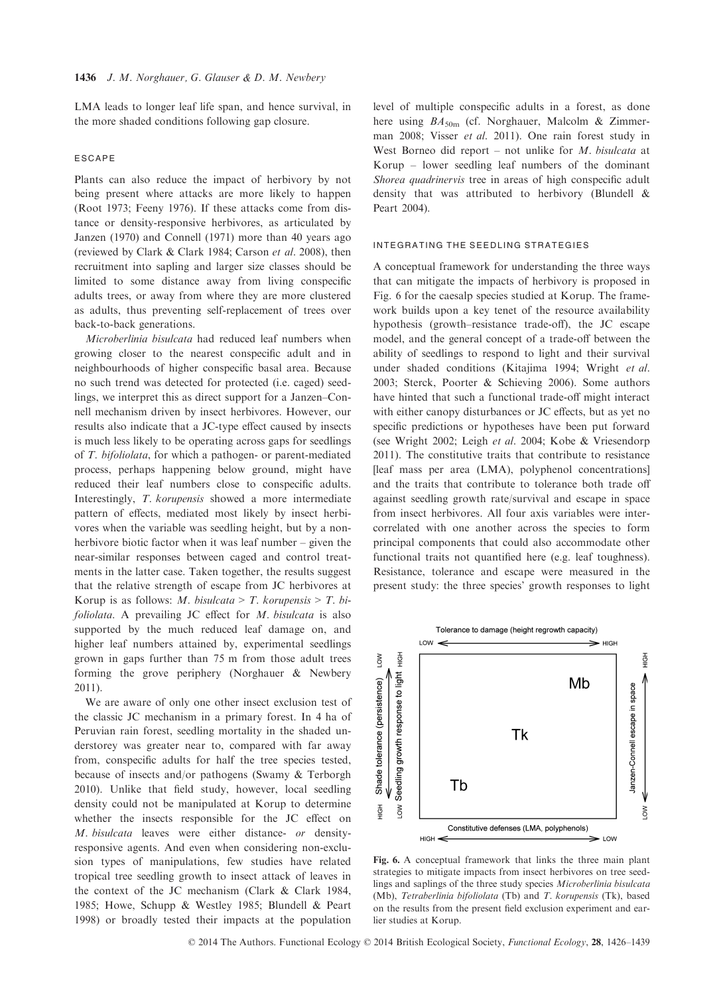LMA leads to longer leaf life span, and hence survival, in the more shaded conditions following gap closure.

## ESCAPE

Plants can also reduce the impact of herbivory by not being present where attacks are more likely to happen (Root 1973; Feeny 1976). If these attacks come from distance or density-responsive herbivores, as articulated by Janzen (1970) and Connell (1971) more than 40 years ago (reviewed by Clark & Clark 1984; Carson et al. 2008), then recruitment into sapling and larger size classes should be limited to some distance away from living conspecific adults trees, or away from where they are more clustered as adults, thus preventing self-replacement of trees over back-to-back generations.

Microberlinia bisulcata had reduced leaf numbers when growing closer to the nearest conspecific adult and in neighbourhoods of higher conspecific basal area. Because no such trend was detected for protected (i.e. caged) seedlings, we interpret this as direct support for a Janzen–Connell mechanism driven by insect herbivores. However, our results also indicate that a JC-type effect caused by insects is much less likely to be operating across gaps for seedlings of T. bifoliolata, for which a pathogen- or parent-mediated process, perhaps happening below ground, might have reduced their leaf numbers close to conspecific adults. Interestingly, T. korupensis showed a more intermediate pattern of effects, mediated most likely by insect herbivores when the variable was seedling height, but by a nonherbivore biotic factor when it was leaf number – given the near-similar responses between caged and control treatments in the latter case. Taken together, the results suggest that the relative strength of escape from JC herbivores at Korup is as follows: *M. bisulcata* > *T. korupensis* > *T. bi*foliolata. A prevailing JC effect for M. bisulcata is also supported by the much reduced leaf damage on, and higher leaf numbers attained by, experimental seedlings grown in gaps further than 75 m from those adult trees forming the grove periphery (Norghauer & Newbery 2011).

We are aware of only one other insect exclusion test of the classic JC mechanism in a primary forest. In 4 ha of Peruvian rain forest, seedling mortality in the shaded understorey was greater near to, compared with far away from, conspecific adults for half the tree species tested, because of insects and/or pathogens (Swamy & Terborgh 2010). Unlike that field study, however, local seedling density could not be manipulated at Korup to determine whether the insects responsible for the JC effect on M. bisulcata leaves were either distance- or densityresponsive agents. And even when considering non-exclusion types of manipulations, few studies have related tropical tree seedling growth to insect attack of leaves in the context of the JC mechanism (Clark & Clark 1984, 1985; Howe, Schupp & Westley 1985; Blundell & Peart 1998) or broadly tested their impacts at the population

level of multiple conspecific adults in a forest, as done here using  $BA_{50m}$  (cf. Norghauer, Malcolm & Zimmerman 2008; Visser et al. 2011). One rain forest study in West Borneo did report – not unlike for  $M$ . bisulcata at Korup – lower seedling leaf numbers of the dominant Shorea quadrinervis tree in areas of high conspecific adult density that was attributed to herbivory (Blundell & Peart 2004).

#### INTEGRATING THE SEEDLING STRATEGIES

A conceptual framework for understanding the three ways that can mitigate the impacts of herbivory is proposed in Fig. 6 for the caesalp species studied at Korup. The framework builds upon a key tenet of the resource availability hypothesis (growth–resistance trade-off), the JC escape model, and the general concept of a trade-off between the ability of seedlings to respond to light and their survival under shaded conditions (Kitajima 1994; Wright et al. 2003; Sterck, Poorter & Schieving 2006). Some authors have hinted that such a functional trade-off might interact with either canopy disturbances or JC effects, but as yet no specific predictions or hypotheses have been put forward (see Wright 2002; Leigh et al. 2004; Kobe & Vriesendorp 2011). The constitutive traits that contribute to resistance [leaf mass per area (LMA), polyphenol concentrations] and the traits that contribute to tolerance both trade off against seedling growth rate/survival and escape in space from insect herbivores. All four axis variables were intercorrelated with one another across the species to form principal components that could also accommodate other functional traits not quantified here (e.g. leaf toughness). Resistance, tolerance and escape were measured in the present study: the three species' growth responses to light



Fig. 6. A conceptual framework that links the three main plant strategies to mitigate impacts from insect herbivores on tree seedlings and saplings of the three study species Microberlinia bisulcata (Mb), Tetraberlinia bifoliolata (Tb) and T. korupensis (Tk), based on the results from the present field exclusion experiment and earlier studies at Korup.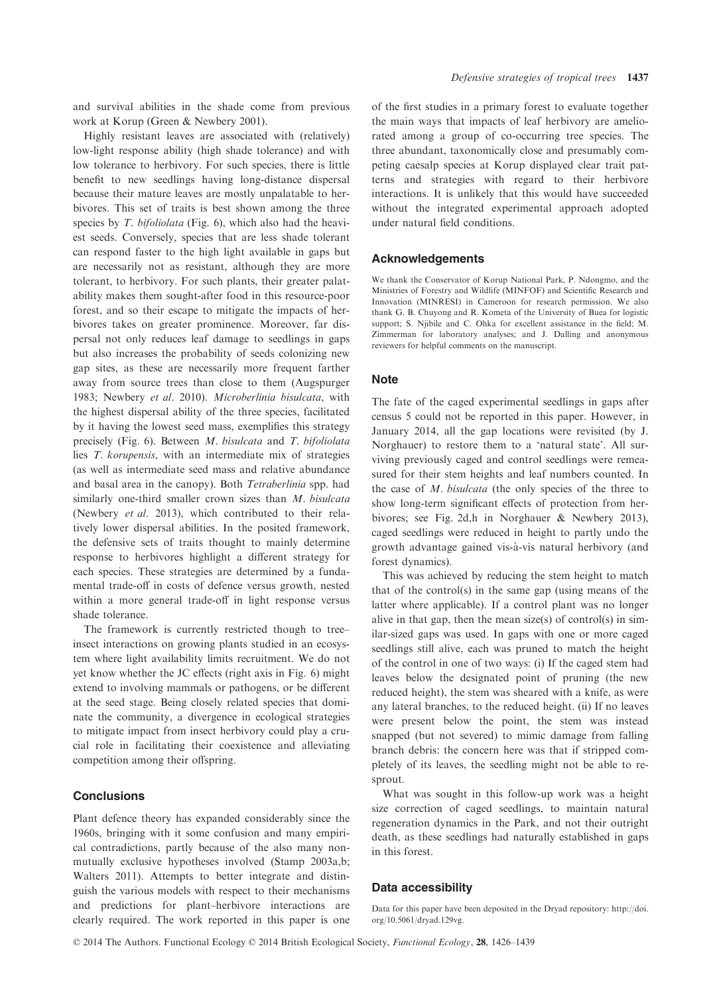and survival abilities in the shade come from previous work at Korup (Green & Newbery 2001).

Highly resistant leaves are associated with (relatively) low-light response ability (high shade tolerance) and with low tolerance to herbivory. For such species, there is little benefit to new seedlings having long-distance dispersal because their mature leaves are mostly unpalatable to herbivores. This set of traits is best shown among the three species by T. bifoliolata (Fig. 6), which also had the heaviest seeds. Conversely, species that are less shade tolerant can respond faster to the high light available in gaps but are necessarily not as resistant, although they are more tolerant, to herbivory. For such plants, their greater palatability makes them sought-after food in this resource-poor forest, and so their escape to mitigate the impacts of herbivores takes on greater prominence. Moreover, far dispersal not only reduces leaf damage to seedlings in gaps but also increases the probability of seeds colonizing new gap sites, as these are necessarily more frequent farther away from source trees than close to them (Augspurger 1983; Newbery et al. 2010). Microberlinia bisulcata, with the highest dispersal ability of the three species, facilitated by it having the lowest seed mass, exemplifies this strategy precisely (Fig. 6). Between M. bisulcata and T. bifoliolata lies T. korupensis, with an intermediate mix of strategies (as well as intermediate seed mass and relative abundance and basal area in the canopy). Both Tetraberlinia spp. had similarly one-third smaller crown sizes than M. bisulcata (Newbery et al. 2013), which contributed to their relatively lower dispersal abilities. In the posited framework, the defensive sets of traits thought to mainly determine response to herbivores highlight a different strategy for each species. These strategies are determined by a fundamental trade-off in costs of defence versus growth, nested within a more general trade-off in light response versus shade tolerance.

The framework is currently restricted though to tree– insect interactions on growing plants studied in an ecosystem where light availability limits recruitment. We do not yet know whether the JC effects (right axis in Fig. 6) might extend to involving mammals or pathogens, or be different at the seed stage. Being closely related species that dominate the community, a divergence in ecological strategies to mitigate impact from insect herbivory could play a crucial role in facilitating their coexistence and alleviating competition among their offspring.

# **Conclusions**

Plant defence theory has expanded considerably since the 1960s, bringing with it some confusion and many empirical contradictions, partly because of the also many nonmutually exclusive hypotheses involved (Stamp 2003a,b; Walters 2011). Attempts to better integrate and distinguish the various models with respect to their mechanisms and predictions for plant–herbivore interactions are clearly required. The work reported in this paper is one of the first studies in a primary forest to evaluate together the main ways that impacts of leaf herbivory are ameliorated among a group of co-occurring tree species. The three abundant, taxonomically close and presumably competing caesalp species at Korup displayed clear trait patterns and strategies with regard to their herbivore interactions. It is unlikely that this would have succeeded without the integrated experimental approach adopted under natural field conditions.

# Acknowledgements

We thank the Conservator of Korup National Park, P. Ndongmo, and the Ministries of Forestry and Wildlife (MINFOF) and Scientific Research and Innovation (MINRESI) in Cameroon for research permission. We also thank G. B. Chuyong and R. Kometa of the University of Buea for logistic support; S. Njibile and C. Ohka for excellent assistance in the field; M. Zimmerman for laboratory analyses; and J. Dalling and anonymous reviewers for helpful comments on the manuscript.

# **Note**

The fate of the caged experimental seedlings in gaps after census 5 could not be reported in this paper. However, in January 2014, all the gap locations were revisited (by J. Norghauer) to restore them to a 'natural state'. All surviving previously caged and control seedlings were remeasured for their stem heights and leaf numbers counted. In the case of M. bisulcata (the only species of the three to show long-term significant effects of protection from herbivores; see Fig. 2d,h in Norghauer & Newbery 2013), caged seedlings were reduced in height to partly undo the growth advantage gained vis-à-vis natural herbivory (and forest dynamics).

This was achieved by reducing the stem height to match that of the control(s) in the same gap (using means of the latter where applicable). If a control plant was no longer alive in that gap, then the mean size(s) of control(s) in similar-sized gaps was used. In gaps with one or more caged seedlings still alive, each was pruned to match the height of the control in one of two ways: (i) If the caged stem had leaves below the designated point of pruning (the new reduced height), the stem was sheared with a knife, as were any lateral branches, to the reduced height. (ii) If no leaves were present below the point, the stem was instead snapped (but not severed) to mimic damage from falling branch debris: the concern here was that if stripped completely of its leaves, the seedling might not be able to resprout.

What was sought in this follow-up work was a height size correction of caged seedlings, to maintain natural regeneration dynamics in the Park, and not their outright death, as these seedlings had naturally established in gaps in this forest.

## Data accessibility

Data for this paper have been deposited in the Dryad repository: http://doi. org/10.5061/dryad.129vg.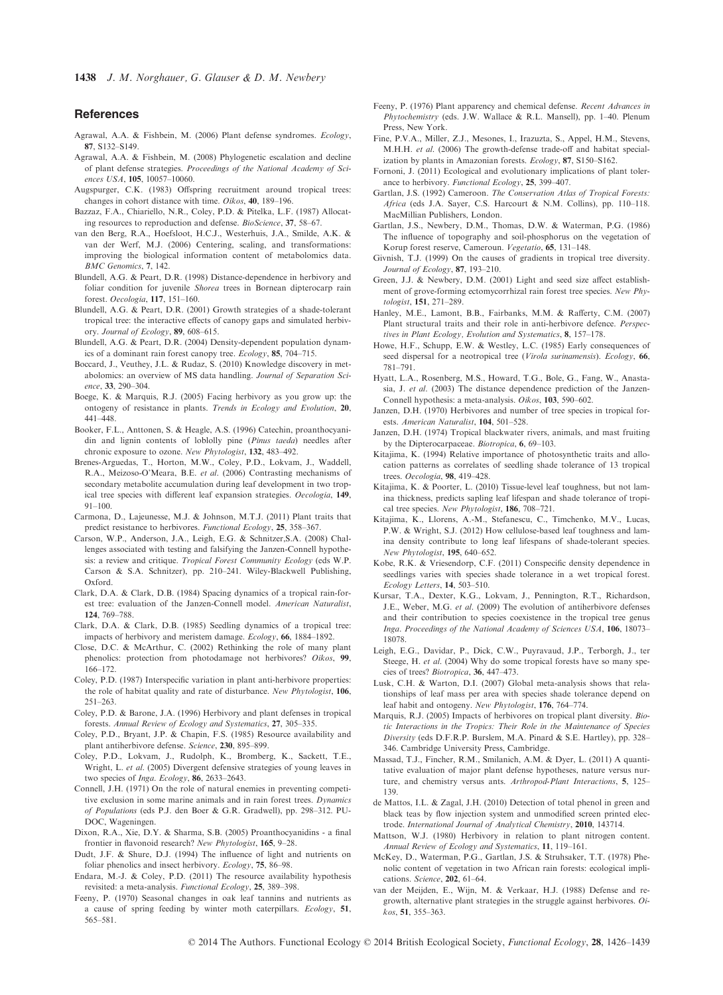## **References**

- Agrawal, A.A. & Fishbein, M. (2006) Plant defense syndromes. Ecology, 87, S132–S149.
- Agrawal, A.A. & Fishbein, M. (2008) Phylogenetic escalation and decline of plant defense strategies. Proceedings of the National Academy of Sciences USA, 105, 10057–10060.
- Augspurger, C.K. (1983) Offspring recruitment around tropical trees: changes in cohort distance with time. Oikos, 40, 189–196.
- Bazzaz, F.A., Chiariello, N.R., Coley, P.D. & Pitelka, L.F. (1987) Allocating resources to reproduction and defense. BioScience, 37, 58–67.
- van den Berg, R.A., Hoefsloot, H.C.J., Westerhuis, J.A., Smilde, A.K. & van der Werf, M.J. (2006) Centering, scaling, and transformations: improving the biological information content of metabolomics data. BMC Genomics, 7, 142.
- Blundell, A.G. & Peart, D.R. (1998) Distance-dependence in herbivory and foliar condition for juvenile Shorea trees in Bornean dipterocarp rain forest. Oecologia, 117, 151–160.
- Blundell, A.G. & Peart, D.R. (2001) Growth strategies of a shade-tolerant tropical tree: the interactive effects of canopy gaps and simulated herbivory. Journal of Ecology, 89, 608–615.
- Blundell, A.G. & Peart, D.R. (2004) Density-dependent population dynamics of a dominant rain forest canopy tree. Ecology, 85, 704–715.
- Boccard, J., Veuthey, J.L. & Rudaz, S. (2010) Knowledge discovery in metabolomics: an overview of MS data handling. Journal of Separation Science, 33, 290–304.
- Boege, K. & Marquis, R.J. (2005) Facing herbivory as you grow up: the ontogeny of resistance in plants. Trends in Ecology and Evolution, 20, 441–448.
- Booker, F.L., Anttonen, S. & Heagle, A.S. (1996) Catechin, proanthocyanidin and lignin contents of loblolly pine (Pinus taeda) needles after chronic exposure to ozone. New Phytologist, 132, 483–492.
- Brenes-Arguedas, T., Horton, M.W., Coley, P.D., Lokvam, J., Waddell, R.A., Meizoso-O'Meara, B.E. et al. (2006) Contrasting mechanisms of secondary metabolite accumulation during leaf development in two tropical tree species with different leaf expansion strategies. Oecologia, 149, 91–100.
- Carmona, D., Lajeunesse, M.J. & Johnson, M.T.J. (2011) Plant traits that predict resistance to herbivores. Functional Ecology, 25, 358–367.
- Carson, W.P., Anderson, J.A., Leigh, E.G. & Schnitzer,S.A. (2008) Challenges associated with testing and falsifying the Janzen-Connell hypothesis: a review and critique. Tropical Forest Community Ecology (eds W.P. Carson & S.A. Schnitzer), pp. 210–241. Wiley-Blackwell Publishing, Oxford.
- Clark, D.A. & Clark, D.B. (1984) Spacing dynamics of a tropical rain-forest tree: evaluation of the Janzen-Connell model. American Naturalist, 124, 769–788.
- Clark, D.A. & Clark, D.B. (1985) Seedling dynamics of a tropical tree: impacts of herbivory and meristem damage. Ecology, 66, 1884–1892.
- Close, D.C. & McArthur, C. (2002) Rethinking the role of many plant phenolics: protection from photodamage not herbivores? Oikos, 99, 166–172.
- Coley, P.D. (1987) Interspecific variation in plant anti-herbivore properties: the role of habitat quality and rate of disturbance. New Phytologist, 106, 251–263.
- Coley, P.D. & Barone, J.A. (1996) Herbivory and plant defenses in tropical forests. Annual Review of Ecology and Systematics, 27, 305–335.
- Coley, P.D., Bryant, J.P. & Chapin, F.S. (1985) Resource availability and plant antiherbivore defense. Science, 230, 895–899.
- Coley, P.D., Lokvam, J., Rudolph, K., Bromberg, K., Sackett, T.E., Wright, L. et al. (2005) Divergent defensive strategies of young leaves in two species of Inga. Ecology, 86, 2633–2643.
- Connell, J.H. (1971) On the role of natural enemies in preventing competitive exclusion in some marine animals and in rain forest trees. Dynamics of Populations (eds P.J. den Boer & G.R. Gradwell), pp. 298–312. PU-DOC, Wageningen.
- Dixon, R.A., Xie, D.Y. & Sharma, S.B. (2005) Proanthocyanidins a final frontier in flavonoid research? New Phytologist, 165, 9–28.
- Dudt, J.F. & Shure, D.J. (1994) The influence of light and nutrients on foliar phenolics and insect herbivory. Ecology, 75, 86–98.
- Endara, M.-J. & Coley, P.D. (2011) The resource availability hypothesis revisited: a meta-analysis. Functional Ecology, 25, 389–398.
- Feeny, P. (1970) Seasonal changes in oak leaf tannins and nutrients as a cause of spring feeding by winter moth caterpillars. Ecology, 51, 565–581.
- Feeny, P. (1976) Plant apparency and chemical defense. Recent Advances in Phytochemistry (eds. J.W. Wallace & R.L. Mansell), pp. 1–40. Plenum Press, New York.
- Fine, P.V.A., Miller, Z.J., Mesones, I., Irazuzta, S., Appel, H.M., Stevens, M.H.H. et al. (2006) The growth-defense trade-off and habitat specialization by plants in Amazonian forests. Ecology, 87, S150–S162.
- Fornoni, J. (2011) Ecological and evolutionary implications of plant tolerance to herbivory. Functional Ecology, 25, 399–407.
- Gartlan, J.S. (1992) Cameroon. The Conservation Atlas of Tropical Forests: Africa (eds J.A. Sayer, C.S. Harcourt & N.M. Collins), pp. 110–118. MacMillian Publishers, London.
- Gartlan, J.S., Newbery, D.M., Thomas, D.W. & Waterman, P.G. (1986) The influence of topography and soil-phosphorus on the vegetation of Korup forest reserve, Cameroun. Vegetatio, 65, 131–148.
- Givnish, T.J. (1999) On the causes of gradients in tropical tree diversity. Journal of Ecology, 87, 193–210.
- Green, J.J. & Newbery, D.M. (2001) Light and seed size affect establishment of grove-forming ectomycorrhizal rain forest tree species. New Phytologist, 151, 271–289.
- Hanley, M.E., Lamont, B.B., Fairbanks, M.M. & Rafferty, C.M. (2007) Plant structural traits and their role in anti-herbivore defence. Perspectives in Plant Ecology, Evolution and Systematics, 8, 157–178.
- Howe, H.F., Schupp, E.W. & Westley, L.C. (1985) Early consequences of seed dispersal for a neotropical tree (Virola surinamensis). Ecology, 66, 781–791.
- Hyatt, L.A., Rosenberg, M.S., Howard, T.G., Bole, G., Fang, W., Anastasia, J. et al. (2003) The distance dependence prediction of the Janzen-Connell hypothesis: a meta-analysis. Oikos, 103, 590–602.
- Janzen, D.H. (1970) Herbivores and number of tree species in tropical forests. American Naturalist, 104, 501–528.
- Janzen, D.H. (1974) Tropical blackwater rivers, animals, and mast fruiting by the Dipterocarpaceae. Biotropica, 6, 69–103.
- Kitajima, K. (1994) Relative importance of photosynthetic traits and allocation patterns as correlates of seedling shade tolerance of 13 tropical trees. Oecologia, 98, 419–428.
- Kitajima, K. & Poorter, L. (2010) Tissue-level leaf toughness, but not lamina thickness, predicts sapling leaf lifespan and shade tolerance of tropical tree species. New Phytologist, 186, 708–721.
- Kitajima, K., Llorens, A.-M., Stefanescu, C., Timchenko, M.V., Lucas, P.W. & Wright, S.J. (2012) How cellulose-based leaf toughness and lamina density contribute to long leaf lifespans of shade-tolerant species. New Phytologist, 195, 640–652.
- Kobe, R.K. & Vriesendorp, C.F. (2011) Conspecific density dependence in seedlings varies with species shade tolerance in a wet tropical forest. Ecology Letters, 14, 503–510.
- Kursar, T.A., Dexter, K.G., Lokvam, J., Pennington, R.T., Richardson, J.E., Weber, M.G. et al. (2009) The evolution of antiherbivore defenses and their contribution to species coexistence in the tropical tree genus Inga. Proceedings of the National Academy of Sciences USA, 106, 18073– 18078.
- Leigh, E.G., Davidar, P., Dick, C.W., Puyravaud, J.P., Terborgh, J., ter Steege, H. et al. (2004) Why do some tropical forests have so many species of trees? Biotropica, 36, 447–473.
- Lusk, C.H. & Warton, D.I. (2007) Global meta-analysis shows that relationships of leaf mass per area with species shade tolerance depend on leaf habit and ontogeny. New Phytologist, 176, 764–774.
- Marquis, R.J. (2005) Impacts of herbivores on tropical plant diversity. Biotic Interactions in the Tropics: Their Role in the Maintenance of Species Diversity (eds D.F.R.P. Burslem, M.A. Pinard & S.E. Hartley), pp. 328– 346. Cambridge University Press, Cambridge.
- Massad, T.J., Fincher, R.M., Smilanich, A.M. & Dyer, L. (2011) A quantitative evaluation of major plant defense hypotheses, nature versus nurture, and chemistry versus ants. Arthropod-Plant Interactions, 5, 125– 139.
- de Mattos, I.L. & Zagal, J.H. (2010) Detection of total phenol in green and black teas by flow injection system and unmodified screen printed electrode. International Journal of Analytical Chemistry, 2010, 143714.
- Mattson, W.J. (1980) Herbivory in relation to plant nitrogen content. Annual Review of Ecology and Systematics, 11, 119–161.
- McKey, D., Waterman, P.G., Gartlan, J.S. & Struhsaker, T.T. (1978) Phenolic content of vegetation in two African rain forests: ecological implications. Science, 202, 61–64.
- van der Meijden, E., Wijn, M. & Verkaar, H.J. (1988) Defense and regrowth, alternative plant strategies in the struggle against herbivores. Oikos, 51, 355–363.